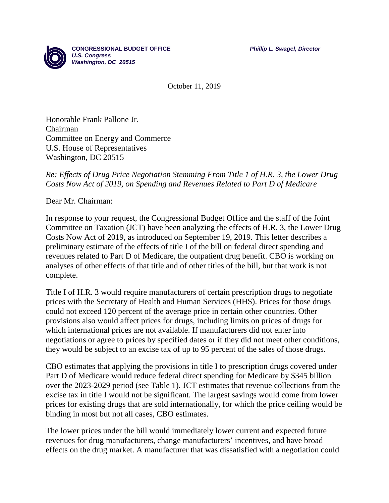**CONGRESSIONAL BUDGET OFFICE** *Phillip L. Swagel, Director*



October 11, 2019

Honorable Frank Pallone Jr. Chairman Committee on Energy and Commerce U.S. House of Representatives Washington, DC 20515

## *Re: Effects of Drug Price Negotiation Stemming From Title 1 of H.R. 3, the Lower Drug Costs Now Act of 2019, on Spending and Revenues Related to Part D of Medicare*

Dear Mr. Chairman:

In response to your request, the Congressional Budget Office and the staff of the Joint Committee on Taxation (JCT) have been analyzing the effects of H.R. 3, the Lower Drug Costs Now Act of 2019, as introduced on September 19, 2019. This letter describes a preliminary estimate of the effects of title I of the bill on federal direct spending and revenues related to Part D of Medicare, the outpatient drug benefit. CBO is working on analyses of other effects of that title and of other titles of the bill, but that work is not complete.

Title I of H.R. 3 would require manufacturers of certain prescription drugs to negotiate prices with the Secretary of Health and Human Services (HHS). Prices for those drugs could not exceed 120 percent of the average price in certain other countries. Other provisions also would affect prices for drugs, including limits on prices of drugs for which international prices are not available. If manufacturers did not enter into negotiations or agree to prices by specified dates or if they did not meet other conditions, they would be subject to an excise tax of up to 95 percent of the sales of those drugs.

CBO estimates that applying the provisions in title I to prescription drugs covered under Part D of Medicare would reduce federal direct spending for Medicare by \$345 billion over the 2023-2029 period (see Table 1). JCT estimates that revenue collections from the excise tax in title I would not be significant. The largest savings would come from lower prices for existing drugs that are sold internationally, for which the price ceiling would be binding in most but not all cases, CBO estimates.

The lower prices under the bill would immediately lower current and expected future revenues for drug manufacturers, change manufacturers' incentives, and have broad effects on the drug market. A manufacturer that was dissatisfied with a negotiation could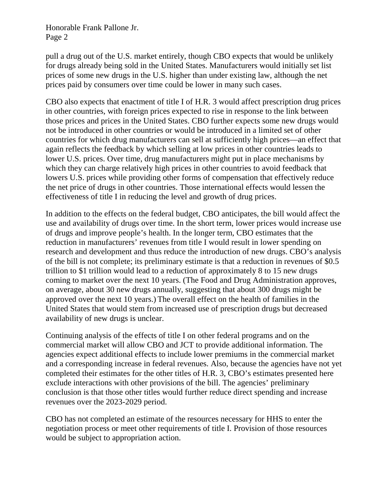pull a drug out of the U.S. market entirely, though CBO expects that would be unlikely for drugs already being sold in the United States. Manufacturers would initially set list prices of some new drugs in the U.S. higher than under existing law, although the net prices paid by consumers over time could be lower in many such cases.

CBO also expects that enactment of title I of H.R. 3 would affect prescription drug prices in other countries, with foreign prices expected to rise in response to the link between those prices and prices in the United States. CBO further expects some new drugs would not be introduced in other countries or would be introduced in a limited set of other countries for which drug manufacturers can sell at sufficiently high prices—an effect that again reflects the feedback by which selling at low prices in other countries leads to lower U.S. prices. Over time, drug manufacturers might put in place mechanisms by which they can charge relatively high prices in other countries to avoid feedback that lowers U.S. prices while providing other forms of compensation that effectively reduce the net price of drugs in other countries. Those international effects would lessen the effectiveness of title I in reducing the level and growth of drug prices.

In addition to the effects on the federal budget, CBO anticipates, the bill would affect the use and availability of drugs over time. In the short term, lower prices would increase use of drugs and improve people's health. In the longer term, CBO estimates that the reduction in manufacturers' revenues from title I would result in lower spending on research and development and thus reduce the introduction of new drugs. CBO's analysis of the bill is not complete; its preliminary estimate is that a reduction in revenues of \$0.5 trillion to \$1 trillion would lead to a reduction of approximately 8 to 15 new drugs coming to market over the next 10 years. (The Food and Drug Administration approves, on average, about 30 new drugs annually, suggesting that about 300 drugs might be approved over the next 10 years.) The overall effect on the health of families in the United States that would stem from increased use of prescription drugs but decreased availability of new drugs is unclear.

Continuing analysis of the effects of title I on other federal programs and on the commercial market will allow CBO and JCT to provide additional information. The agencies expect additional effects to include lower premiums in the commercial market and a corresponding increase in federal revenues. Also, because the agencies have not yet completed their estimates for the other titles of H.R. 3, CBO's estimates presented here exclude interactions with other provisions of the bill. The agencies' preliminary conclusion is that those other titles would further reduce direct spending and increase revenues over the 2023-2029 period.

CBO has not completed an estimate of the resources necessary for HHS to enter the negotiation process or meet other requirements of title I. Provision of those resources would be subject to appropriation action.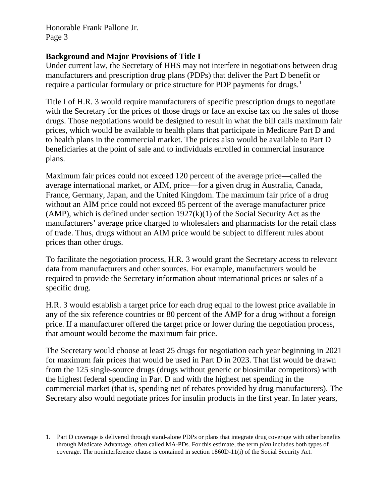$\overline{a}$ 

## **Background and Major Provisions of Title I**

Under current law, the Secretary of HHS may not interfere in negotiations between drug manufacturers and prescription drug plans (PDPs) that deliver the Part D benefit or require a particular formulary or price structure for PDP payments for drugs.<sup>[1](#page-2-0)</sup>

Title I of H.R. 3 would require manufacturers of specific prescription drugs to negotiate with the Secretary for the prices of those drugs or face an excise tax on the sales of those drugs. Those negotiations would be designed to result in what the bill calls maximum fair prices, which would be available to health plans that participate in Medicare Part D and to health plans in the commercial market. The prices also would be available to Part D beneficiaries at the point of sale and to individuals enrolled in commercial insurance plans.

Maximum fair prices could not exceed 120 percent of the average price—called the average international market, or AIM, price—for a given drug in Australia, Canada, France, Germany, Japan, and the United Kingdom. The maximum fair price of a drug without an AIM price could not exceed 85 percent of the average manufacturer price (AMP), which is defined under section  $1927(k)(1)$  of the Social Security Act as the manufacturers' average price charged to wholesalers and pharmacists for the retail class of trade. Thus, drugs without an AIM price would be subject to different rules about prices than other drugs.

To facilitate the negotiation process, H.R. 3 would grant the Secretary access to relevant data from manufacturers and other sources. For example, manufacturers would be required to provide the Secretary information about international prices or sales of a specific drug.

H.R. 3 would establish a target price for each drug equal to the lowest price available in any of the six reference countries or 80 percent of the AMP for a drug without a foreign price. If a manufacturer offered the target price or lower during the negotiation process, that amount would become the maximum fair price.

The Secretary would choose at least 25 drugs for negotiation each year beginning in 2021 for maximum fair prices that would be used in Part D in 2023. That list would be drawn from the 125 single-source drugs (drugs without generic or biosimilar competitors) with the highest federal spending in Part D and with the highest net spending in the commercial market (that is, spending net of rebates provided by drug manufacturers). The Secretary also would negotiate prices for insulin products in the first year. In later years,

<span id="page-2-0"></span><sup>1.</sup> Part D coverage is delivered through stand-alone PDPs or plans that integrate drug coverage with other benefits through Medicare Advantage, often called MA-PDs. For this estimate, the term *plan* includes both types of coverage. The noninterference clause is contained in section 1860D-11(i) of the Social Security Act.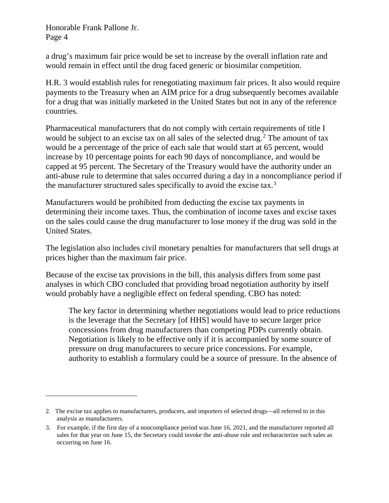$\overline{a}$ 

a drug's maximum fair price would be set to increase by the overall inflation rate and would remain in effect until the drug faced generic or biosimilar competition.

H.R. 3 would establish rules for renegotiating maximum fair prices. It also would require payments to the Treasury when an AIM price for a drug subsequently becomes available for a drug that was initially marketed in the United States but not in any of the reference countries.

Pharmaceutical manufacturers that do not comply with certain requirements of title I would be subject to an excise tax on all sales of the selected drug.<sup>[2](#page-3-0)</sup> The amount of tax would be a percentage of the price of each sale that would start at 65 percent, would increase by 10 percentage points for each 90 days of noncompliance, and would be capped at 95 percent. The Secretary of the Treasury would have the authority under an anti-abuse rule to determine that sales occurred during a day in a noncompliance period if the manufacturer structured sales specifically to avoid the excise tax.<sup>[3](#page-3-1)</sup>

Manufacturers would be prohibited from deducting the excise tax payments in determining their income taxes. Thus, the combination of income taxes and excise taxes on the sales could cause the drug manufacturer to lose money if the drug was sold in the United States.

The legislation also includes civil monetary penalties for manufacturers that sell drugs at prices higher than the maximum fair price.

Because of the excise tax provisions in the bill, this analysis differs from some past analyses in which CBO concluded that providing broad negotiation authority by itself would probably have a negligible effect on federal spending. CBO has noted:

The key factor in determining whether negotiations would lead to price reductions is the leverage that the Secretary [of HHS] would have to secure larger price concessions from drug manufacturers than competing PDPs currently obtain. Negotiation is likely to be effective only if it is accompanied by some source of pressure on drug manufacturers to secure price concessions. For example, authority to establish a formulary could be a source of pressure. In the absence of

<span id="page-3-0"></span><sup>2.</sup> The excise tax applies to manufacturers, producers, and importers of selected drugs—all referred to in this analysis as manufacturers.

<span id="page-3-1"></span><sup>3.</sup> For example, if the first day of a noncompliance period was June 16, 2021, and the manufacturer reported all sales for that year on June 15, the Secretary could invoke the anti-abuse rule and recharacterize such sales as occurring on June 16.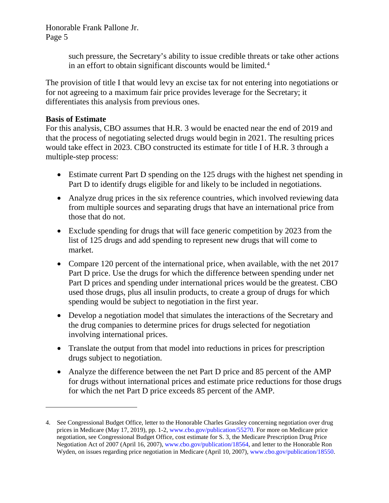> such pressure, the Secretary's ability to issue credible threats or take other actions in an effort to obtain significant discounts would be limited.<sup>[4](#page-4-0)</sup>

The provision of title I that would levy an excise tax for not entering into negotiations or for not agreeing to a maximum fair price provides leverage for the Secretary; it differentiates this analysis from previous ones.

# **Basis of Estimate**

 $\overline{a}$ 

For this analysis, CBO assumes that H.R. 3 would be enacted near the end of 2019 and that the process of negotiating selected drugs would begin in 2021. The resulting prices would take effect in 2023. CBO constructed its estimate for title I of H.R. 3 through a multiple-step process:

- Estimate current Part D spending on the 125 drugs with the highest net spending in Part D to identify drugs eligible for and likely to be included in negotiations.
- Analyze drug prices in the six reference countries, which involved reviewing data from multiple sources and separating drugs that have an international price from those that do not.
- Exclude spending for drugs that will face generic competition by 2023 from the list of 125 drugs and add spending to represent new drugs that will come to market.
- Compare 120 percent of the international price, when available, with the net 2017 Part D price. Use the drugs for which the difference between spending under net Part D prices and spending under international prices would be the greatest. CBO used those drugs, plus all insulin products, to create a group of drugs for which spending would be subject to negotiation in the first year.
- Develop a negotiation model that simulates the interactions of the Secretary and the drug companies to determine prices for drugs selected for negotiation involving international prices.
- Translate the output from that model into reductions in prices for prescription drugs subject to negotiation.
- Analyze the difference between the net Part D price and 85 percent of the AMP for drugs without international prices and estimate price reductions for those drugs for which the net Part D price exceeds 85 percent of the AMP.

<span id="page-4-0"></span><sup>4.</sup> See Congressional Budget Office, letter to the Honorable Charles Grassley concerning negotiation over drug prices in Medicare (May 17, 2019), pp. 1-2, [www.cbo.gov/publication/55270.](https://www.cbo.gov/publication/55270) For more on Medicare price negotiation, see Congressional Budget Office, cost estimate for S. 3, the Medicare Prescription Drug Price Negotiation Act of 2007 (April 16, 2007)[, www.cbo.gov/publication/18564,](https://www.cbo.gov/publication/18564) and letter to the Honorable Ron Wyden, on issues regarding price negotiation in Medicare (April 10, 2007)[, www.cbo.gov/publication/18550.](https://www.cbo.gov/publication/18550)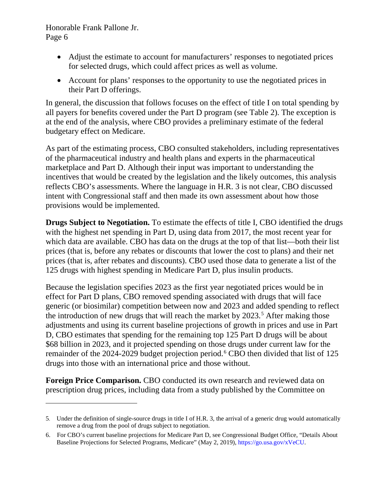$\overline{a}$ 

- Adjust the estimate to account for manufacturers' responses to negotiated prices for selected drugs, which could affect prices as well as volume.
- Account for plans' responses to the opportunity to use the negotiated prices in their Part D offerings.

In general, the discussion that follows focuses on the effect of title I on total spending by all payers for benefits covered under the Part D program (see Table 2). The exception is at the end of the analysis, where CBO provides a preliminary estimate of the federal budgetary effect on Medicare.

As part of the estimating process, CBO consulted stakeholders, including representatives of the pharmaceutical industry and health plans and experts in the pharmaceutical marketplace and Part D. Although their input was important to understanding the incentives that would be created by the legislation and the likely outcomes, this analysis reflects CBO's assessments. Where the language in H.R. 3 is not clear, CBO discussed intent with Congressional staff and then made its own assessment about how those provisions would be implemented.

**Drugs Subject to Negotiation.** To estimate the effects of title I, CBO identified the drugs with the highest net spending in Part D, using data from 2017, the most recent year for which data are available. CBO has data on the drugs at the top of that list—both their list prices (that is, before any rebates or discounts that lower the cost to plans) and their net prices (that is, after rebates and discounts). CBO used those data to generate a list of the 125 drugs with highest spending in Medicare Part D, plus insulin products.

Because the legislation specifies 2023 as the first year negotiated prices would be in effect for Part D plans, CBO removed spending associated with drugs that will face generic (or biosimilar) competition between now and 2023 and added spending to reflect the introduction of new drugs that will reach the market by 2023. [5](#page-5-0) After making those adjustments and using its current baseline projections of growth in prices and use in Part D, CBO estimates that spending for the remaining top 125 Part D drugs will be about \$68 billion in 2023, and it projected spending on those drugs under current law for the remainder of the 2024-2029 budget projection period. [6](#page-5-1) CBO then divided that list of 125 drugs into those with an international price and those without.

**Foreign Price Comparison.** CBO conducted its own research and reviewed data on prescription drug prices, including data from a study published by the Committee on

<span id="page-5-0"></span><sup>5.</sup> Under the definition of single-source drugs in title I of H.R. 3, the arrival of a generic drug would automatically remove a drug from the pool of drugs subject to negotiation.

<span id="page-5-1"></span><sup>6.</sup> For CBO's current baseline projections for Medicare Part D, see Congressional Budget Office, "Details About Baseline Projections for Selected Programs, Medicare" (May 2, 2019), [https://go.usa.gov/xVeCU.](https://go.usa.gov/xVeCU)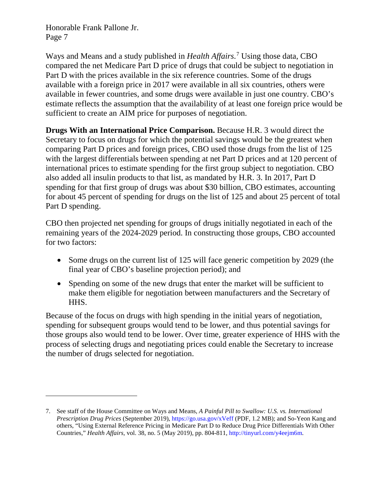$\overline{a}$ 

Ways and Means and a study published in *Health Affairs*. [7](#page-6-0) Using those data, CBO compared the net Medicare Part D price of drugs that could be subject to negotiation in Part D with the prices available in the six reference countries. Some of the drugs available with a foreign price in 2017 were available in all six countries, others were available in fewer countries, and some drugs were available in just one country. CBO's estimate reflects the assumption that the availability of at least one foreign price would be sufficient to create an AIM price for purposes of negotiation.

**Drugs With an International Price Comparison.** Because H.R. 3 would direct the Secretary to focus on drugs for which the potential savings would be the greatest when comparing Part D prices and foreign prices, CBO used those drugs from the list of 125 with the largest differentials between spending at net Part D prices and at 120 percent of international prices to estimate spending for the first group subject to negotiation. CBO also added all insulin products to that list, as mandated by H.R. 3. In 2017, Part D spending for that first group of drugs was about \$30 billion, CBO estimates, accounting for about 45 percent of spending for drugs on the list of 125 and about 25 percent of total Part D spending.

CBO then projected net spending for groups of drugs initially negotiated in each of the remaining years of the 2024-2029 period. In constructing those groups, CBO accounted for two factors:

- Some drugs on the current list of 125 will face generic competition by 2029 (the final year of CBO's baseline projection period); and
- Spending on some of the new drugs that enter the market will be sufficient to make them eligible for negotiation between manufacturers and the Secretary of HHS.

Because of the focus on drugs with high spending in the initial years of negotiation, spending for subsequent groups would tend to be lower, and thus potential savings for those groups also would tend to be lower. Over time, greater experience of HHS with the process of selecting drugs and negotiating prices could enable the Secretary to increase the number of drugs selected for negotiation.

<span id="page-6-0"></span><sup>7.</sup> See staff of the House Committee on Ways and Means, *A Painful Pill to Swallow: U.S. vs. International Prescription Drug Prices* (September 2019),<https://go.usa.gov/xVeff> (PDF, 1.2 MB); and So-Yeon Kang and others, "Using External Reference Pricing in Medicare Part D to Reduce Drug Price Differentials With Other Countries," *Health Affairs,* vol. 38, no. 5 (May 2019), pp. 804-811[, http://tinyurl.com/y4eejm6m.](http://tinyurl.com/y4eejm6m)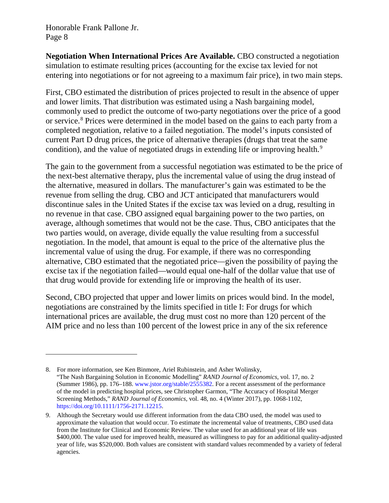$\overline{a}$ 

**Negotiation When International Prices Are Available.** CBO constructed a negotiation simulation to estimate resulting prices (accounting for the excise tax levied for not entering into negotiations or for not agreeing to a maximum fair price), in two main steps.

First, CBO estimated the distribution of prices projected to result in the absence of upper and lower limits. That distribution was estimated using a Nash bargaining model, commonly used to predict the outcome of two-party negotiations over the price of a good or service.[8](#page-7-0) Prices were determined in the model based on the gains to each party from a completed negotiation, relative to a failed negotiation. The model's inputs consisted of current Part D drug prices, the price of alternative therapies (drugs that treat the same condition), and the value of negotiated drugs in extending life or improving health.<sup>[9](#page-7-1)</sup>

The gain to the government from a successful negotiation was estimated to be the price of the next-best alternative therapy, plus the incremental value of using the drug instead of the alternative, measured in dollars. The manufacturer's gain was estimated to be the revenue from selling the drug. CBO and JCT anticipated that manufacturers would discontinue sales in the United States if the excise tax was levied on a drug, resulting in no revenue in that case. CBO assigned equal bargaining power to the two parties, on average, although sometimes that would not be the case. Thus, CBO anticipates that the two parties would, on average, divide equally the value resulting from a successful negotiation. In the model, that amount is equal to the price of the alternative plus the incremental value of using the drug. For example, if there was no corresponding alternative, CBO estimated that the negotiated price—given the possibility of paying the excise tax if the negotiation failed—would equal one-half of the dollar value that use of that drug would provide for extending life or improving the health of its user.

Second, CBO projected that upper and lower limits on prices would bind. In the model, negotiations are constrained by the limits specified in title I: For drugs for which international prices are available, the drug must cost no more than 120 percent of the AIM price and no less than 100 percent of the lowest price in any of the six reference

<span id="page-7-0"></span><sup>8.</sup> For more information, see Ken Binmore, Ariel Rubinstein, and Asher Wolinsky, "The Nash Bargaining Solution in Economic Modelling" *RAND Journal of Economics,* vol. 17, no. 2 (Summer 1986), pp. 176–188. [www.jstor.org/stable/2555382.](http://www.jstor.org/stable/2555382) For a recent assessment of the performance of the model in predicting hospital prices, see Christopher Garmon, "The Accuracy of Hospital Merger Screening Methods," *RAND Journal of Economics,* vol. 48, no. 4 (Winter 2017), pp. 1068-1102, [https://doi.org/10.1111/1756-2171.12215.](https://doi.org/10.1111/1756-2171.12215)

<span id="page-7-1"></span><sup>9.</sup> Although the Secretary would use different information from the data CBO used, the model was used to approximate the valuation that would occur. To estimate the incremental value of treatments, CBO used data from the Institute for Clinical and Economic Review. The value used for an additional year of life was \$400,000. The value used for improved health, measured as willingness to pay for an additional quality-adjusted year of life, was \$520,000. Both values are consistent with standard values recommended by a variety of federal agencies.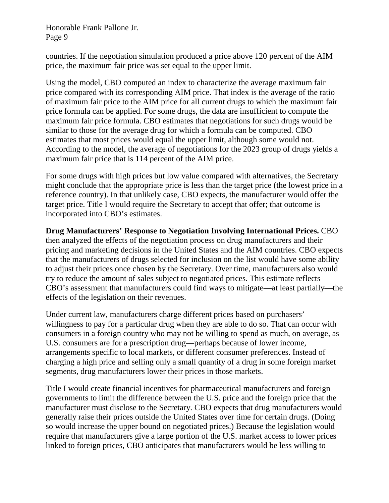countries. If the negotiation simulation produced a price above 120 percent of the AIM price, the maximum fair price was set equal to the upper limit.

Using the model, CBO computed an index to characterize the average maximum fair price compared with its corresponding AIM price. That index is the average of the ratio of maximum fair price to the AIM price for all current drugs to which the maximum fair price formula can be applied. For some drugs, the data are insufficient to compute the maximum fair price formula. CBO estimates that negotiations for such drugs would be similar to those for the average drug for which a formula can be computed. CBO estimates that most prices would equal the upper limit, although some would not. According to the model, the average of negotiations for the 2023 group of drugs yields a maximum fair price that is 114 percent of the AIM price.

For some drugs with high prices but low value compared with alternatives, the Secretary might conclude that the appropriate price is less than the target price (the lowest price in a reference country). In that unlikely case, CBO expects, the manufacturer would offer the target price. Title I would require the Secretary to accept that offer; that outcome is incorporated into CBO's estimates.

**Drug Manufacturers' Response to Negotiation Involving International Prices.** CBO then analyzed the effects of the negotiation process on drug manufacturers and their pricing and marketing decisions in the United States and the AIM countries. CBO expects that the manufacturers of drugs selected for inclusion on the list would have some ability to adjust their prices once chosen by the Secretary. Over time, manufacturers also would try to reduce the amount of sales subject to negotiated prices. This estimate reflects CBO's assessment that manufacturers could find ways to mitigate—at least partially—the effects of the legislation on their revenues.

Under current law, manufacturers charge different prices based on purchasers' willingness to pay for a particular drug when they are able to do so. That can occur with consumers in a foreign country who may not be willing to spend as much, on average, as U.S. consumers are for a prescription drug—perhaps because of lower income, arrangements specific to local markets, or different consumer preferences. Instead of charging a high price and selling only a small quantity of a drug in some foreign market segments, drug manufacturers lower their prices in those markets.

Title I would create financial incentives for pharmaceutical manufacturers and foreign governments to limit the difference between the U.S. price and the foreign price that the manufacturer must disclose to the Secretary. CBO expects that drug manufacturers would generally raise their prices outside the United States over time for certain drugs. (Doing so would increase the upper bound on negotiated prices.) Because the legislation would require that manufacturers give a large portion of the U.S. market access to lower prices linked to foreign prices, CBO anticipates that manufacturers would be less willing to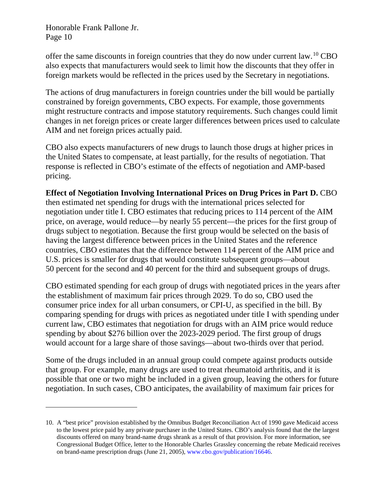$\overline{a}$ 

offer the same discounts in foreign countries that they do now under current law.[10](#page-9-0) CBO also expects that manufacturers would seek to limit how the discounts that they offer in foreign markets would be reflected in the prices used by the Secretary in negotiations.

The actions of drug manufacturers in foreign countries under the bill would be partially constrained by foreign governments, CBO expects. For example, those governments might restructure contracts and impose statutory requirements. Such changes could limit changes in net foreign prices or create larger differences between prices used to calculate AIM and net foreign prices actually paid.

CBO also expects manufacturers of new drugs to launch those drugs at higher prices in the United States to compensate, at least partially, for the results of negotiation. That response is reflected in CBO's estimate of the effects of negotiation and AMP-based pricing.

### **Effect of Negotiation Involving International Prices on Drug Prices in Part D.** CBO

then estimated net spending for drugs with the international prices selected for negotiation under title I. CBO estimates that reducing prices to 114 percent of the AIM price, on average, would reduce—by nearly 55 percent—the prices for the first group of drugs subject to negotiation. Because the first group would be selected on the basis of having the largest difference between prices in the United States and the reference countries, CBO estimates that the difference between 114 percent of the AIM price and U.S. prices is smaller for drugs that would constitute subsequent groups—about 50 percent for the second and 40 percent for the third and subsequent groups of drugs.

CBO estimated spending for each group of drugs with negotiated prices in the years after the establishment of maximum fair prices through 2029. To do so, CBO used the consumer price index for all urban consumers, or CPI-U, as specified in the bill. By comparing spending for drugs with prices as negotiated under title I with spending under current law, CBO estimates that negotiation for drugs with an AIM price would reduce spending by about \$276 billion over the 2023-2029 period. The first group of drugs would account for a large share of those savings—about two-thirds over that period.

Some of the drugs included in an annual group could compete against products outside that group. For example, many drugs are used to treat rheumatoid arthritis, and it is possible that one or two might be included in a given group, leaving the others for future negotiation. In such cases, CBO anticipates, the availability of maximum fair prices for

<span id="page-9-0"></span><sup>10.</sup> A "best price" provision established by the Omnibus Budget Reconciliation Act of 1990 gave Medicaid access to the lowest price paid by any private purchaser in the United States. CBO's analysis found that the the largest discounts offered on many brand-name drugs shrank as a result of that provision. For more information, see Congressional Budget Office, letter to the Honorable Charles Grassley concerning the rebate Medicaid receives on brand-name prescription drugs (June 21, 2005)[, www.cbo.gov/publication/16646.](https://www.cbo.gov/publication/16646)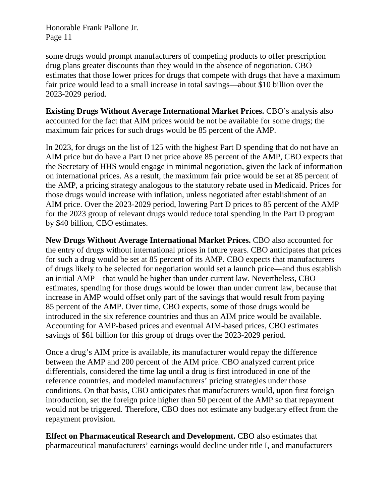some drugs would prompt manufacturers of competing products to offer prescription drug plans greater discounts than they would in the absence of negotiation. CBO estimates that those lower prices for drugs that compete with drugs that have a maximum fair price would lead to a small increase in total savings—about \$10 billion over the 2023-2029 period.

**Existing Drugs Without Average International Market Prices.** CBO's analysis also accounted for the fact that AIM prices would be not be available for some drugs; the maximum fair prices for such drugs would be 85 percent of the AMP.

In 2023, for drugs on the list of 125 with the highest Part D spending that do not have an AIM price but do have a Part D net price above 85 percent of the AMP, CBO expects that the Secretary of HHS would engage in minimal negotiation, given the lack of information on international prices. As a result, the maximum fair price would be set at 85 percent of the AMP, a pricing strategy analogous to the statutory rebate used in Medicaid. Prices for those drugs would increase with inflation, unless negotiated after establishment of an AIM price. Over the 2023-2029 period, lowering Part D prices to 85 percent of the AMP for the 2023 group of relevant drugs would reduce total spending in the Part D program by \$40 billion, CBO estimates.

**New Drugs Without Average International Market Prices.** CBO also accounted for the entry of drugs without international prices in future years. CBO anticipates that prices for such a drug would be set at 85 percent of its AMP. CBO expects that manufacturers of drugs likely to be selected for negotiation would set a launch price—and thus establish an initial AMP—that would be higher than under current law. Nevertheless, CBO estimates, spending for those drugs would be lower than under current law, because that increase in AMP would offset only part of the savings that would result from paying 85 percent of the AMP. Over time, CBO expects, some of those drugs would be introduced in the six reference countries and thus an AIM price would be available. Accounting for AMP-based prices and eventual AIM-based prices, CBO estimates savings of \$61 billion for this group of drugs over the 2023-2029 period.

Once a drug's AIM price is available, its manufacturer would repay the difference between the AMP and 200 percent of the AIM price. CBO analyzed current price differentials, considered the time lag until a drug is first introduced in one of the reference countries, and modeled manufacturers' pricing strategies under those conditions. On that basis, CBO anticipates that manufacturers would, upon first foreign introduction, set the foreign price higher than 50 percent of the AMP so that repayment would not be triggered. Therefore, CBO does not estimate any budgetary effect from the repayment provision.

**Effect on Pharmaceutical Research and Development.** CBO also estimates that pharmaceutical manufacturers' earnings would decline under title I, and manufacturers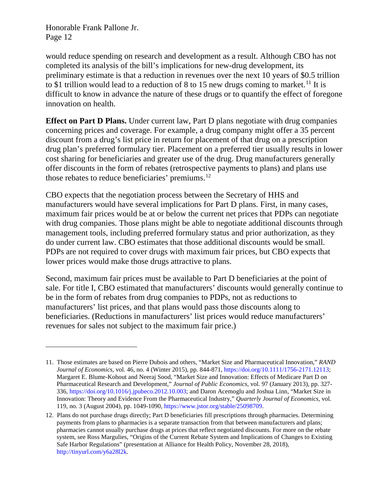$\overline{a}$ 

would reduce spending on research and development as a result. Although CBO has not completed its analysis of the bill's implications for new-drug development, its preliminary estimate is that a reduction in revenues over the next 10 years of \$0.5 trillion to \$1 trillion would lead to a reduction of 8 to 15 new drugs coming to market.<sup>[11](#page-11-0)</sup> It is difficult to know in advance the nature of these drugs or to quantify the effect of foregone innovation on health.

**Effect on Part D Plans.** Under current law, Part D plans negotiate with drug companies concerning prices and coverage. For example, a drug company might offer a 35 percent discount from a drug's list price in return for placement of that drug on a prescription drug plan's preferred formulary tier. Placement on a preferred tier usually results in lower cost sharing for beneficiaries and greater use of the drug. Drug manufacturers generally offer discounts in the form of rebates (retrospective payments to plans) and plans use those rebates to reduce beneficiaries' premiums.<sup>[12](#page-11-1)</sup>

CBO expects that the negotiation process between the Secretary of HHS and manufacturers would have several implications for Part D plans. First, in many cases, maximum fair prices would be at or below the current net prices that PDPs can negotiate with drug companies. Those plans might be able to negotiate additional discounts through management tools, including preferred formulary status and prior authorization, as they do under current law. CBO estimates that those additional discounts would be small. PDPs are not required to cover drugs with maximum fair prices, but CBO expects that lower prices would make those drugs attractive to plans.

Second, maximum fair prices must be available to Part D beneficiaries at the point of sale. For title I, CBO estimated that manufacturers' discounts would generally continue to be in the form of rebates from drug companies to PDPs, not as reductions to manufacturers' list prices, and that plans would pass those discounts along to beneficiaries. (Reductions in manufacturers' list prices would reduce manufacturers' revenues for sales not subject to the maximum fair price.)

<span id="page-11-0"></span><sup>11.</sup> Those estimates are based on Pierre Dubois and others, "Market Size and Pharmaceutical Innovation," *RAND Journal of Economics,* vol. 46, no. 4 (Winter 2015), pp. 844-871[, https://doi.org/10.1111/1756-2171.12113;](https://doi.org/10.1111/1756-2171.12113) Margaret E. Blume-Kohout and Neeraj Sood, "Market Size and Innovation: Effects of Medicare Part D on Pharmaceutical Research and Development," *Journal of Public Economics,* vol. 97 (January 2013), pp. 327- 336, [https://doi.org/10.1016/j.jpubeco.2012.10.003;](https://doi.org/10.1016/j.jpubeco.2012.10.003) and Daron Acemoglu and Joshua Linn, "Market Size in Innovation: Theory and Evidence From the Pharmaceutical Industry," *Quarterly Journal of Economics,* vol. 119, no. 3 (August 2004), pp. 1049-1090, [https://www.jstor.org/stable/25098709.](https://www.jstor.org/stable/25098709)

<span id="page-11-1"></span><sup>12.</sup> Plans do not purchase drugs directly; Part D beneficiaries fill prescriptions through pharmacies. Determining payments from plans to pharmacies is a separate transaction from that between manufacturers and plans; pharmacies cannot usually purchase drugs at prices that reflect negotiated discounts. For more on the rebate system, see Ross Margulies, "Origins of the Current Rebate System and Implications of Changes to Existing Safe Harbor Regulations" (presentation at Alliance for Health Policy, November 28, 2018), [http://tinyurl.com/y6a28l2k.](http://tinyurl.com/y6a28l2k)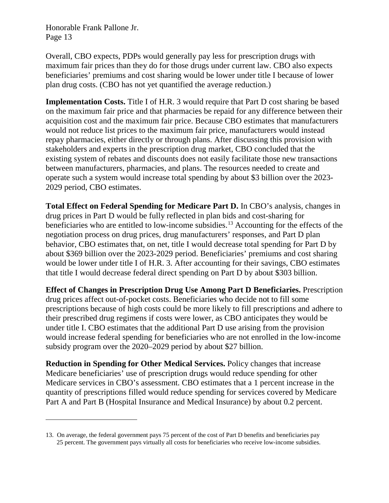$\overline{a}$ 

Overall, CBO expects, PDPs would generally pay less for prescription drugs with maximum fair prices than they do for those drugs under current law. CBO also expects beneficiaries' premiums and cost sharing would be lower under title I because of lower plan drug costs. (CBO has not yet quantified the average reduction.)

**Implementation Costs.** Title I of H.R. 3 would require that Part D cost sharing be based on the maximum fair price and that pharmacies be repaid for any difference between their acquisition cost and the maximum fair price. Because CBO estimates that manufacturers would not reduce list prices to the maximum fair price, manufacturers would instead repay pharmacies, either directly or through plans. After discussing this provision with stakeholders and experts in the prescription drug market, CBO concluded that the existing system of rebates and discounts does not easily facilitate those new transactions between manufacturers, pharmacies, and plans. The resources needed to create and operate such a system would increase total spending by about \$3 billion over the 2023- 2029 period, CBO estimates.

**Total Effect on Federal Spending for Medicare Part D.** In CBO's analysis, changes in drug prices in Part D would be fully reflected in plan bids and cost-sharing for beneficiaries who are entitled to low-income subsidies.[13](#page-12-0) Accounting for the effects of the negotiation process on drug prices, drug manufacturers' responses, and Part D plan behavior, CBO estimates that, on net, title I would decrease total spending for Part D by about \$369 billion over the 2023-2029 period. Beneficiaries' premiums and cost sharing would be lower under title I of H.R. 3. After accounting for their savings, CBO estimates that title I would decrease federal direct spending on Part D by about \$303 billion.

**Effect of Changes in Prescription Drug Use Among Part D Beneficiaries.** Prescription drug prices affect out-of-pocket costs. Beneficiaries who decide not to fill some prescriptions because of high costs could be more likely to fill prescriptions and adhere to their prescribed drug regimens if costs were lower, as CBO anticipates they would be under title I. CBO estimates that the additional Part D use arising from the provision would increase federal spending for beneficiaries who are not enrolled in the low-income subsidy program over the 2020–2029 period by about \$27 billion.

**Reduction in Spending for Other Medical Services.** Policy changes that increase Medicare beneficiaries' use of prescription drugs would reduce spending for other Medicare services in CBO's assessment. CBO estimates that a 1 percent increase in the quantity of prescriptions filled would reduce spending for services covered by Medicare Part A and Part B (Hospital Insurance and Medical Insurance) by about 0.2 percent.

<span id="page-12-0"></span><sup>13.</sup> On average, the federal government pays 75 percent of the cost of Part D benefits and beneficiaries pay 25 percent. The government pays virtually all costs for beneficiaries who receive low-income subsidies.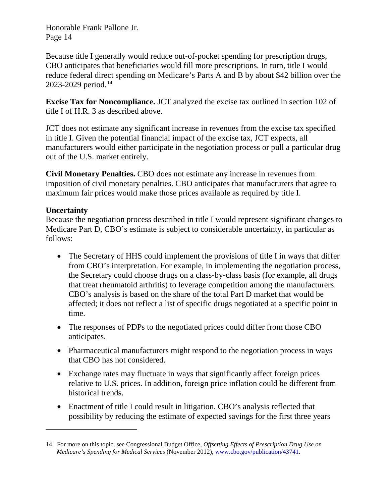Because title I generally would reduce out-of-pocket spending for prescription drugs, CBO anticipates that beneficiaries would fill more prescriptions. In turn, title I would reduce federal direct spending on Medicare's Parts A and B by about \$42 billion over the 2023-2029 period. [14](#page-13-0)

**Excise Tax for Noncompliance.** JCT analyzed the excise tax outlined in section 102 of title I of H.R. 3 as described above.

JCT does not estimate any significant increase in revenues from the excise tax specified in title I. Given the potential financial impact of the excise tax, JCT expects, all manufacturers would either participate in the negotiation process or pull a particular drug out of the U.S. market entirely.

**Civil Monetary Penalties.** CBO does not estimate any increase in revenues from imposition of civil monetary penalties. CBO anticipates that manufacturers that agree to maximum fair prices would make those prices available as required by title I.

#### **Uncertainty**

 $\overline{a}$ 

Because the negotiation process described in title I would represent significant changes to Medicare Part D, CBO's estimate is subject to considerable uncertainty, in particular as follows:

- The Secretary of HHS could implement the provisions of title I in ways that differ from CBO's interpretation. For example, in implementing the negotiation process, the Secretary could choose drugs on a class-by-class basis (for example, all drugs that treat rheumatoid arthritis) to leverage competition among the manufacturers. CBO's analysis is based on the share of the total Part D market that would be affected; it does not reflect a list of specific drugs negotiated at a specific point in time.
- The responses of PDPs to the negotiated prices could differ from those CBO anticipates.
- Pharmaceutical manufacturers might respond to the negotiation process in ways that CBO has not considered.
- Exchange rates may fluctuate in ways that significantly affect foreign prices relative to U.S. prices. In addition, foreign price inflation could be different from historical trends.
- Enactment of title I could result in litigation. CBO's analysis reflected that possibility by reducing the estimate of expected savings for the first three years

<span id="page-13-0"></span><sup>14.</sup> For more on this topic, see Congressional Budget Office, *Offsetting Effects of Prescription Drug Use on Medicare's Spending for Medical Services* (November 2012)[, www.cbo.gov/publication/43741.](https://www.cbo.gov/publication/43741)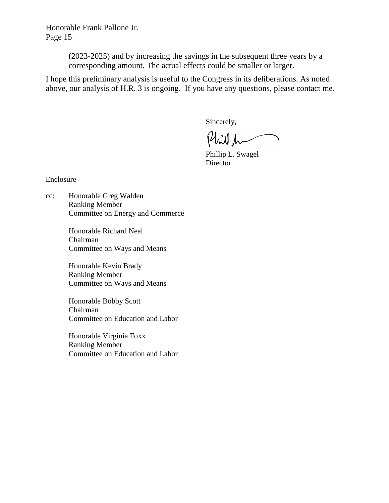> (2023-2025) and by increasing the savings in the subsequent three years by a corresponding amount. The actual effects could be smaller or larger.

I hope this preliminary analysis is useful to the Congress in its deliberations. As noted above, our analysis of H.R. 3 is ongoing. If you have any questions, please contact me.

Sincerely,

Phill h

Phillip L. Swagel Director

Enclosure

cc: Honorable Greg Walden Ranking Member Committee on Energy and Commerce

> Honorable Richard Neal Chairman Committee on Ways and Means

> Honorable Kevin Brady Ranking Member Committee on Ways and Means

Honorable Bobby Scott Chairman Committee on Education and Labor

Honorable Virginia Foxx Ranking Member Committee on Education and Labor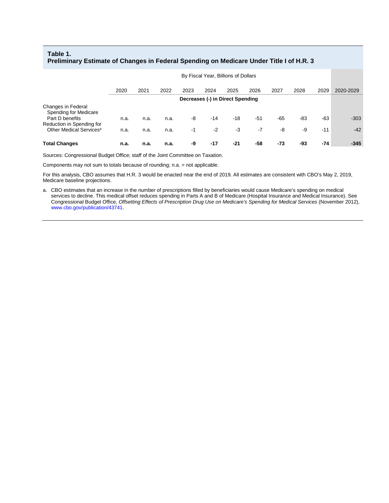#### **Table 1. Preliminary Estimate of Changes in Federal Spending on Medicare Under Title I of H.R. 3**

|                                                                  | By Fiscal Year, Billions of Dollars |      |      |      |       |       |       |       |      |       |           |
|------------------------------------------------------------------|-------------------------------------|------|------|------|-------|-------|-------|-------|------|-------|-----------|
|                                                                  | 2020                                | 2021 | 2022 | 2023 | 2024  | 2025  | 2026  | 2027  | 2028 | 2029  | 2020-2029 |
|                                                                  | Decreases (-) in Direct Spending    |      |      |      |       |       |       |       |      |       |           |
| Changes in Federal<br>Spending for Medicare<br>Part D benefits   | n.a.                                | n.a. | n.a. | -8   | $-14$ | $-18$ | $-51$ | $-65$ | -83  | $-63$ | $-303$    |
| Reduction in Spending for<br>Other Medical Services <sup>a</sup> | n.a.                                | n.a. | n.a. | $-1$ | $-2$  | $-3$  | $-7$  | -8    | -9   | $-11$ | $-42$     |
| <b>Total Changes</b>                                             | n.a.                                | n.a. | n.a. | -9   | $-17$ | $-21$ | -58   | -73   | -93  | -74   | $-345$    |

Sources: Congressional Budget Office; staff of the Joint Committee on Taxation.

Components may not sum to totals because of rounding; n.a. = not applicable.

For this analysis, CBO assumes that H.R. 3 would be enacted near the end of 2019. All estimates are consistent with CBO's May 2, 2019, Medicare baseline projections.

a. CBO estimates that an increase in the number of prescriptions filled by beneficiaries would cause Medicare's spending on medical services to decline. This medical offset reduces spending in Parts A and B of Medicare (Hospital Insurance and Medical Insurance). See Congressional Budget Office, *Offsetting Effects of Prescription Drug Use on Medicare's Spending for Medical Services* (November 2012), [www.cbo.gov/publication/43741.](https://www.cbo.gov/publication/43741)